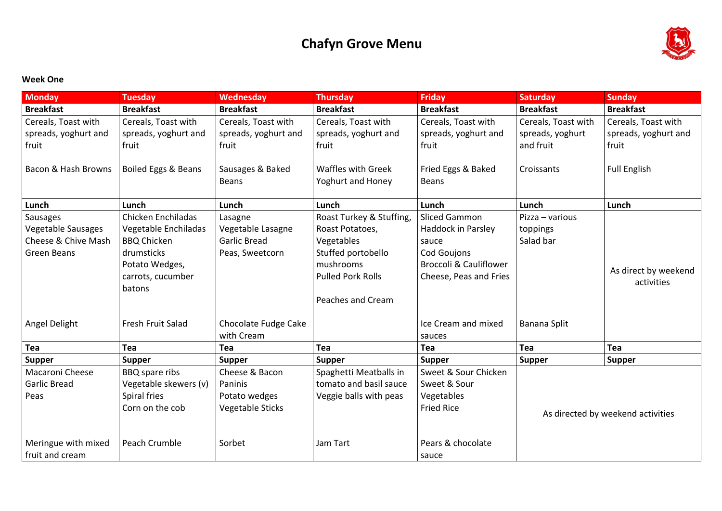# **Chafyn Grove Menu**

### **Week One**

| <b>Monday</b>                  | <b>Tuesday</b>                 | <b>Wednesday</b>            | <b>Thursday</b>           | <b>Friday</b>                     | <b>Saturday</b>     | <b>Sunday</b>                     |
|--------------------------------|--------------------------------|-----------------------------|---------------------------|-----------------------------------|---------------------|-----------------------------------|
| <b>Breakfast</b>               | <b>Breakfast</b>               | <b>Breakfast</b>            | <b>Breakfast</b>          | <b>Breakfast</b>                  | <b>Breakfast</b>    | <b>Breakfast</b>                  |
| Cereals, Toast with            | Cereals, Toast with            | Cereals, Toast with         | Cereals, Toast with       | Cereals, Toast with               | Cereals, Toast with | Cereals, Toast with               |
| spreads, yoghurt and           | spreads, yoghurt and           | spreads, yoghurt and        | spreads, yoghurt and      | spreads, yoghurt and              | spreads, yoghurt    | spreads, yoghurt and              |
| fruit                          | fruit                          | fruit                       | fruit                     | fruit                             | and fruit           | fruit                             |
|                                |                                |                             |                           |                                   |                     |                                   |
| <b>Bacon &amp; Hash Browns</b> | <b>Boiled Eggs &amp; Beans</b> | Sausages & Baked            | <b>Waffles with Greek</b> | Fried Eggs & Baked                | Croissants          | <b>Full English</b>               |
|                                |                                | <b>Beans</b>                | <b>Yoghurt and Honey</b>  | <b>Beans</b>                      |                     |                                   |
|                                |                                |                             |                           |                                   |                     |                                   |
| Lunch                          | Lunch                          | Lunch                       | Lunch                     | Lunch                             | Lunch               | Lunch                             |
| Sausages                       | <b>Chicken Enchiladas</b>      | Lasagne                     | Roast Turkey & Stuffing,  | <b>Sliced Gammon</b>              | Pizza – various     |                                   |
| <b>Vegetable Sausages</b>      | Vegetable Enchiladas           | Vegetable Lasagne           | Roast Potatoes,           | Haddock in Parsley                | toppings            |                                   |
| Cheese & Chive Mash            | <b>BBQ Chicken</b>             | <b>Garlic Bread</b>         | Vegetables                | sauce                             | Salad bar           |                                   |
| <b>Green Beans</b>             | drumsticks                     | Peas, Sweetcorn             | Stuffed portobello        | <b>Cod Goujons</b>                |                     |                                   |
|                                | Potato Wedges,                 |                             | mushrooms                 | <b>Broccoli &amp; Cauliflower</b> |                     | As direct by weekend              |
|                                | carrots, cucumber              |                             | <b>Pulled Pork Rolls</b>  | Cheese, Peas and Fries            |                     | activities                        |
|                                | batons                         |                             |                           |                                   |                     |                                   |
|                                |                                |                             | Peaches and Cream         |                                   |                     |                                   |
| <b>Angel Delight</b>           | <b>Fresh Fruit Salad</b>       | <b>Chocolate Fudge Cake</b> |                           | Ice Cream and mixed               | Banana Split        |                                   |
|                                |                                | with Cream                  |                           | sauces                            |                     |                                   |
| Tea                            | <b>Tea</b>                     | <b>Tea</b>                  | Tea                       | Tea                               | Tea                 | Tea                               |
| <b>Supper</b>                  | <b>Supper</b>                  | <b>Supper</b>               | <b>Supper</b>             | <b>Supper</b>                     | <b>Supper</b>       | <b>Supper</b>                     |
| <b>Macaroni Cheese</b>         | BBQ spare ribs                 | Cheese & Bacon              | Spaghetti Meatballs in    | Sweet & Sour Chicken              |                     |                                   |
| <b>Garlic Bread</b>            | Vegetable skewers (v)          | Paninis                     | tomato and basil sauce    | Sweet & Sour                      |                     |                                   |
| Peas                           | Spiral fries                   | Potato wedges               | Veggie balls with peas    | Vegetables                        |                     |                                   |
|                                | Corn on the cob                | <b>Vegetable Sticks</b>     |                           | <b>Fried Rice</b>                 |                     | As directed by weekend activities |
|                                |                                |                             |                           |                                   |                     |                                   |
|                                |                                |                             |                           |                                   |                     |                                   |
| Meringue with mixed            | Peach Crumble                  | Sorbet                      | Jam Tart                  | Pears & chocolate                 |                     |                                   |
| fruit and cream                |                                |                             |                           | sauce                             |                     |                                   |

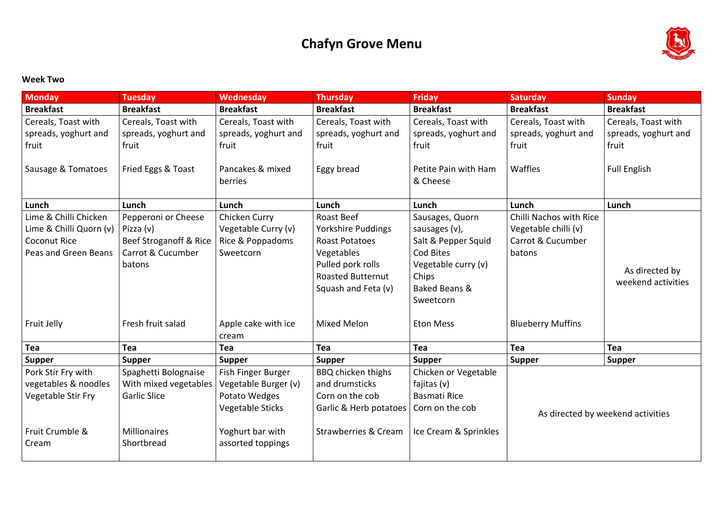# **Chafyn Grove Menu**

#### **Week Two**

| <b>Monday</b>              | <b>Tuesday</b>               | Wednesday               | <b>Thursday</b>                 | <b>Friday</b>         | <b>Saturday</b>                | <b>Sunday</b>                     |
|----------------------------|------------------------------|-------------------------|---------------------------------|-----------------------|--------------------------------|-----------------------------------|
| <b>Breakfast</b>           | <b>Breakfast</b>             | <b>Breakfast</b>        | <b>Breakfast</b>                | <b>Breakfast</b>      | <b>Breakfast</b>               | <b>Breakfast</b>                  |
| Cereals, Toast with        | Cereals, Toast with          | Cereals, Toast with     | Cereals, Toast with             | Cereals, Toast with   | Cereals, Toast with            | Cereals, Toast with               |
| spreads, yoghurt and       | spreads, yoghurt and         | spreads, yoghurt and    | spreads, yoghurt and            | spreads, yoghurt and  | spreads, yoghurt and           | spreads, yoghurt and              |
| fruit                      | fruit                        | fruit                   | fruit                           | fruit                 | fruit                          | fruit                             |
|                            |                              |                         |                                 |                       |                                |                                   |
| Sausage & Tomatoes         | Fried Eggs & Toast           | Pancakes & mixed        | Eggy bread                      | Petite Pain with Ham  | <b>Waffles</b>                 | <b>Full English</b>               |
|                            |                              | berries                 |                                 | & Cheese              |                                |                                   |
| Lunch                      | Lunch                        | Lunch                   | Lunch                           | Lunch                 | Lunch                          | Lunch                             |
| Lime & Chilli Chicken      | Pepperoni or Cheese          | Chicken Curry           | <b>Roast Beef</b>               | Sausages, Quorn       | <b>Chilli Nachos with Rice</b> |                                   |
| Lime & Chilli Quorn (v)    | Pizza (v)                    | Vegetable Curry (v)     | <b>Yorkshire Puddings</b>       | sausages (v),         | Vegetable chilli (v)           |                                   |
| <b>Coconut Rice</b>        | Beef Stroganoff & Rice       | Rice & Poppadoms        | <b>Roast Potatoes</b>           | Salt & Pepper Squid   | Carrot & Cucumber              |                                   |
| Peas and Green Beans       | <b>Carrot &amp; Cucumber</b> | Sweetcorn               | Vegetables                      | Cod Bites             | batons                         |                                   |
|                            | batons                       |                         | Pulled pork rolls               | Vegetable curry (v)   |                                |                                   |
|                            |                              |                         | <b>Roasted Butternut</b>        | Chips                 |                                | As directed by                    |
|                            |                              |                         | Squash and Feta (v)             | Baked Beans &         |                                | weekend activities                |
|                            |                              |                         |                                 | Sweetcorn             |                                |                                   |
| <b>Fruit Jelly</b>         | Fresh fruit salad            | Apple cake with ice     | <b>Mixed Melon</b>              | <b>Eton Mess</b>      | <b>Blueberry Muffins</b>       |                                   |
|                            |                              | cream                   |                                 |                       |                                |                                   |
| <b>Tea</b>                 | <b>Tea</b>                   | Tea                     | <b>Tea</b>                      | <b>Tea</b>            | <b>Tea</b>                     | Tea                               |
| <b>Supper</b>              | <b>Supper</b>                | <b>Supper</b>           | <b>Supper</b>                   | <b>Supper</b>         | <b>Supper</b>                  | <b>Supper</b>                     |
| Pork Stir Fry with         | Spaghetti Bolognaise         | Fish Finger Burger      | BBQ chicken thighs              | Chicken or Vegetable  |                                |                                   |
| vegetables & noodles       | With mixed vegetables        | Vegetable Burger (v)    | and drumsticks                  | fajitas $(v)$         |                                |                                   |
| <b>Vegetable Stir Fry</b>  | <b>Garlic Slice</b>          | Potato Wedges           | Corn on the cob                 | <b>Basmati Rice</b>   |                                |                                   |
|                            |                              | <b>Vegetable Sticks</b> | Garlic & Herb potatoes          | Corn on the cob       |                                | As directed by weekend activities |
|                            |                              |                         |                                 |                       |                                |                                   |
| <b>Fruit Crumble &amp;</b> | <b>Millionaires</b>          | Yoghurt bar with        | <b>Strawberries &amp; Cream</b> | Ice Cream & Sprinkles |                                |                                   |
| Cream                      | Shortbread                   | assorted toppings       |                                 |                       |                                |                                   |
|                            |                              |                         |                                 |                       |                                |                                   |